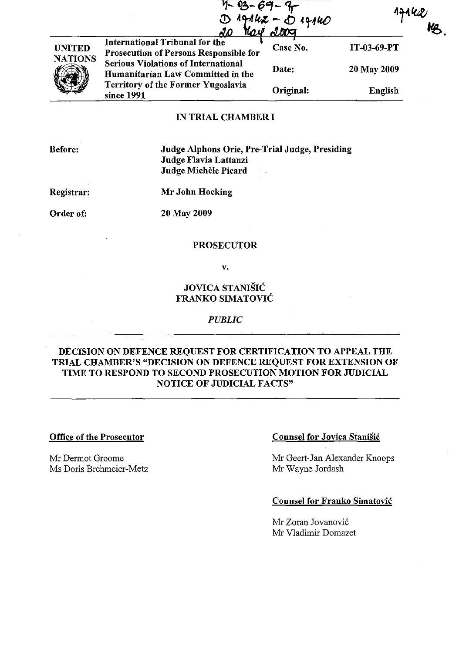|                                 | AO.                                                                                    | 7 - 03 - 69 - 9<br>D 19162 - D 19140<br>20 Kay 2009 |             |
|---------------------------------|----------------------------------------------------------------------------------------|-----------------------------------------------------|-------------|
| <b>UNITED</b><br><b>NATIONS</b> | <b>International Tribunal for the</b><br><b>Prosecution of Persons Responsible for</b> | Case No.                                            | IT-03-69-PT |
|                                 | <b>Serious Violations of International</b><br>Humanitarian Law Committed in the        | Date:                                               | 20 May 2009 |
|                                 | Territory of the Former Yugoslavia<br>since 1991                                       | Original:                                           | English     |
|                                 | IN TRIAL CHAMRER I                                                                     |                                                     |             |

## IN TRIAL CHAMBER I

Before:

Judge Alphons Orie, Pre-Trial Judge, Presiding Judge Flavia Lattanzi Judge Michele Picard  $\mathcal{F}^{\mathcal{G}}_{\mathcal{G}}(x)$ 

Registrar:

Mr John Hocking

Order of:

20 May 2009

### PROSECUTOR

v.

JOVICA STANIŠIĆ FRANKO SIMATOVIĆ

#### *PUBLIC*

# DECISION ON DEFENCE REQUEST FOR CERTIFICATION TO APPEAL THE TRIAL CHAMBER'S "DECISION ON DEFENCE REQUEST FOR EXTENSION OF TIME TO RESPOND TO SECOND PROSECUTION MOTION FOR JUDICIAL NOTICE OF JUDICIAL FACTS"

#### Office of the Prosecutor

Mr Dermot Groome Ms Doris Btehmeier-Metz

### Counsel for Jovica Stanišić

Mr Geert-Jan Alexander Knoops Mr Wayne Jordash

### Counsel for Franko Simatović

Mr Zoran Jovanović Mr Vladimir Domazet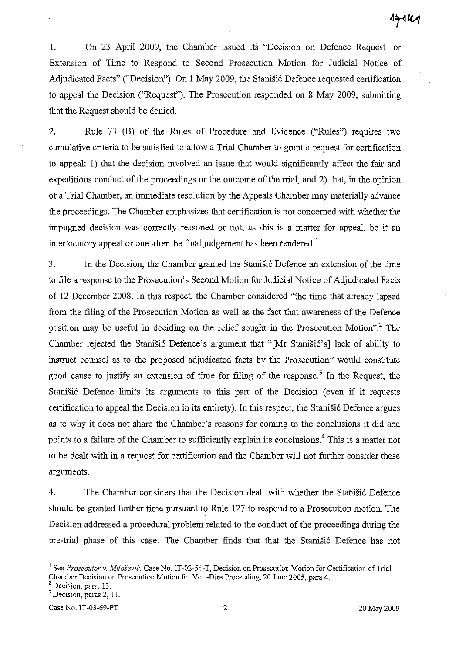1. On 23 April 2009, the Chamber issued its "Decision on Defence Request for Extension of Time to Respond to Second Prosecution Motion for Judicial Notice of Adjudicated Facts" ("Decision"). On 1 May 2009, the Stanišić Defence requested certification to appeal the Decision ("Request"). The Prosecution responded on 8 May 2009, submitting that the Request should be denied.

2. Rule 73 (B) of the Rules of Procedure and Evidence ("Rules") requires two cumulative criteria to be satisfied to allow a Trial Chamber to grant a request for certification to appeal: 1) that the decision involved an issue that would significantly affect the fair and expeditious conduct of the proceedings or the outcome of the trial, and 2) that, in the opinion of a Trial Chamber, an immediate resolution by the Appeals Chamber may materially advance the proceedings. The Chamber emphasizes that certification is not concerned with whether the impugned decision was correctly reasoned or not, as this is a matter for appeal, be it an interlocutory appeal or one after the final judgement has been rendered.<sup>1</sup>

3. In the Decision, the Chamber granted the Stanišić Defence an extension of the time to file a response to the Prosecution's Second Motion for Judicial Notice of Adjudicated Facts of 12 December 2008. In this respect, the Chamber considered "the time that already lapsed from the filing of the Prosecution Motion as well as the fact that awareness of the Defence position may be useful in deciding on the relief sought in the Prosecution Motion"? The Chamber rejected the Stanišić Defence's argument that "[Mr Stanišić's] lack of ability to instruct counsel as to the proposed adjudicated facts by the Prosecution" would constitute good cause to justify an extension of time for filing of the response.<sup>3</sup> In the Request, the Stanišić Defence limits its arguments to this part of the Decision (even if it requests certification to appeal the Decision in its entirety). In this respect, the Stanišić Defence argues as to why it does not share the Chamber's reasons for coming to the conclusions it did and points to a failure of the Chamber to sufficiently explain its conclusions.<sup>4</sup> This is a matter not to be dealt with in a request for certification and the Chamber will not further consider these arguments.

4. The Chamber considers that the Decision dealt with whether the Stanišić Defence should be granted further time pursuant to Rule 127 to respond to a Prosecution motion. The Decision addressed a procedural problem related to the conduct of the proceedings during the pre-trial phase of this case. The Chamber finds that that the Stanišić Defence has not

<sup>&</sup>lt;sup>1</sup> See *Prosecutor v. Milošević*, Case No. IT-02-54-T, Decision on Prosecution Motion for Certification of Trial Chamber Decision on Prosecution Motion for Voir-Dire Proceeding, 20 June 2005, para 4.

<sup>&</sup>lt;sup>2</sup> Decision, para. 13.

<sup>3</sup>**Decision, paras 2, 11.**